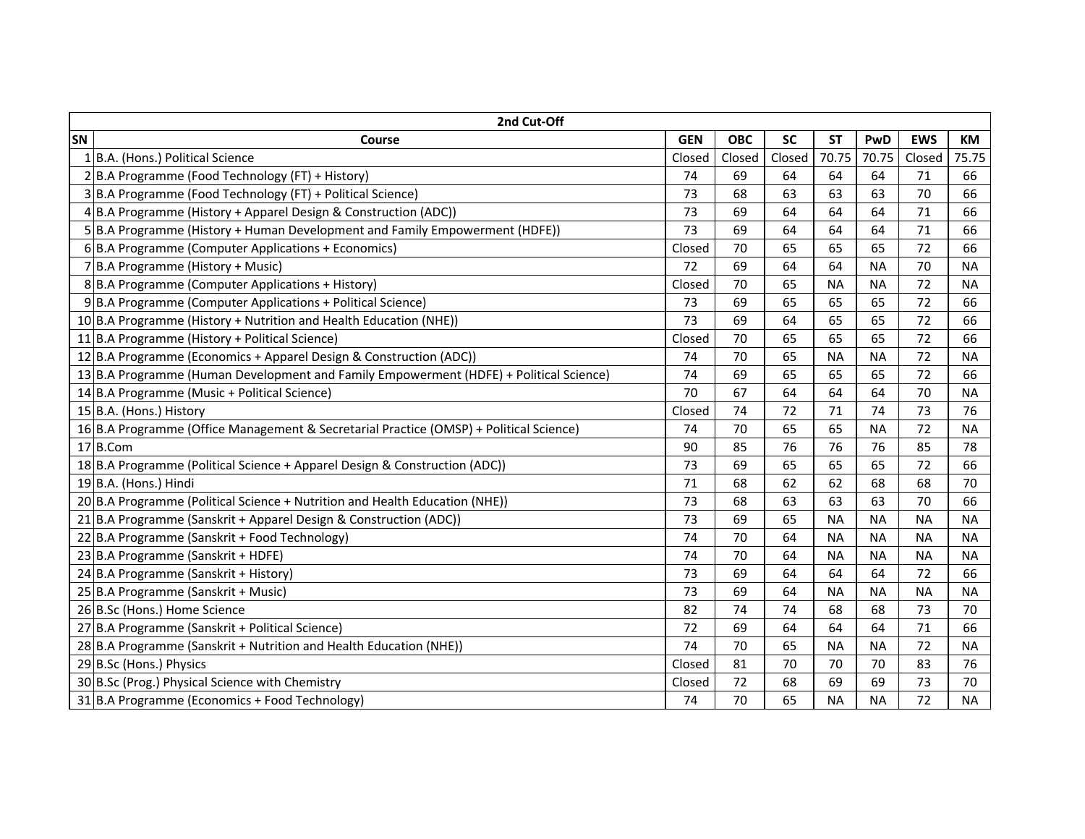| 2nd Cut-Off |                                                                                        |            |            |           |           |           |            |           |  |  |
|-------------|----------------------------------------------------------------------------------------|------------|------------|-----------|-----------|-----------|------------|-----------|--|--|
| SN          | Course                                                                                 | <b>GEN</b> | <b>OBC</b> | <b>SC</b> | <b>ST</b> | PwD       | <b>EWS</b> | <b>KM</b> |  |  |
|             | 1 B.A. (Hons.) Political Science                                                       | Closed     | Closed     | Closed    | 70.75     | 70.75     | Closed     | 75.75     |  |  |
|             | 2 B.A Programme (Food Technology (FT) + History)                                       | 74         | 69         | 64        | 64        | 64        | 71         | 66        |  |  |
|             | 3 B.A Programme (Food Technology (FT) + Political Science)                             | 73         | 68         | 63        | 63        | 63        | 70         | 66        |  |  |
|             | 4 B.A Programme (History + Apparel Design & Construction (ADC))                        | 73         | 69         | 64        | 64        | 64        | 71         | 66        |  |  |
|             | 5 B.A Programme (History + Human Development and Family Empowerment (HDFE))            | 73         | 69         | 64        | 64        | 64        | 71         | 66        |  |  |
|             | 6B.A Programme (Computer Applications + Economics)                                     | Closed     | 70         | 65        | 65        | 65        | 72         | 66        |  |  |
|             | 7B.A Programme (History + Music)                                                       | 72         | 69         | 64        | 64        | <b>NA</b> | 70         | <b>NA</b> |  |  |
|             | 8B.A Programme (Computer Applications + History)                                       | Closed     | 70         | 65        | <b>NA</b> | <b>NA</b> | 72         | <b>NA</b> |  |  |
|             | 9 B.A Programme (Computer Applications + Political Science)                            | 73         | 69         | 65        | 65        | 65        | 72         | 66        |  |  |
|             | 10 B.A Programme (History + Nutrition and Health Education (NHE))                      | 73         | 69         | 64        | 65        | 65        | 72         | 66        |  |  |
|             | 11 B.A Programme (History + Political Science)                                         | Closed     | 70         | 65        | 65        | 65        | 72         | 66        |  |  |
|             | 12 B.A Programme (Economics + Apparel Design & Construction (ADC))                     | 74         | 70         | 65        | <b>NA</b> | <b>NA</b> | 72         | <b>NA</b> |  |  |
|             | 13 B.A Programme (Human Development and Family Empowerment (HDFE) + Political Science) | 74         | 69         | 65        | 65        | 65        | 72         | 66        |  |  |
|             | 14 B.A Programme (Music + Political Science)                                           | 70         | 67         | 64        | 64        | 64        | 70         | <b>NA</b> |  |  |
|             | 15 B.A. (Hons.) History                                                                | Closed     | 74         | 72        | 71        | 74        | 73         | 76        |  |  |
|             | 16 B.A Programme (Office Management & Secretarial Practice (OMSP) + Political Science) | 74         | 70         | 65        | 65        | <b>NA</b> | 72         | <b>NA</b> |  |  |
|             | 17B.Com                                                                                | 90         | 85         | 76        | 76        | 76        | 85         | 78        |  |  |
|             | 18 B.A Programme (Political Science + Apparel Design & Construction (ADC))             | 73         | 69         | 65        | 65        | 65        | 72         | 66        |  |  |
|             | 19 B.A. (Hons.) Hindi                                                                  | 71         | 68         | 62        | 62        | 68        | 68         | 70        |  |  |
|             | 20 B.A Programme (Political Science + Nutrition and Health Education (NHE))            | 73         | 68         | 63        | 63        | 63        | 70         | 66        |  |  |
|             | 21 B.A Programme (Sanskrit + Apparel Design & Construction (ADC))                      | 73         | 69         | 65        | <b>NA</b> | <b>NA</b> | <b>NA</b>  | <b>NA</b> |  |  |
|             | 22 B.A Programme (Sanskrit + Food Technology)                                          | 74         | 70         | 64        | <b>NA</b> | <b>NA</b> | <b>NA</b>  | <b>NA</b> |  |  |
|             | 23 B.A Programme (Sanskrit + HDFE)                                                     | 74         | 70         | 64        | <b>NA</b> | <b>NA</b> | <b>NA</b>  | <b>NA</b> |  |  |
|             | 24 B.A Programme (Sanskrit + History)                                                  | 73         | 69         | 64        | 64        | 64        | 72         | 66        |  |  |
|             | 25 B.A Programme (Sanskrit + Music)                                                    | 73         | 69         | 64        | <b>NA</b> | <b>NA</b> | <b>NA</b>  | <b>NA</b> |  |  |
|             | 26 B.Sc (Hons.) Home Science                                                           | 82         | 74         | 74        | 68        | 68        | 73         | 70        |  |  |
|             | 27 B.A Programme (Sanskrit + Political Science)                                        | 72         | 69         | 64        | 64        | 64        | 71         | 66        |  |  |
|             | 28 B.A Programme (Sanskrit + Nutrition and Health Education (NHE))                     | 74         | 70         | 65        | <b>NA</b> | <b>NA</b> | 72         | <b>NA</b> |  |  |
|             | 29 B.Sc (Hons.) Physics                                                                | Closed     | 81         | 70        | 70        | 70        | 83         | 76        |  |  |
|             | 30 B.Sc (Prog.) Physical Science with Chemistry                                        | Closed     | 72         | 68        | 69        | 69        | 73         | 70        |  |  |
|             | 31 B.A Programme (Economics + Food Technology)                                         | 74         | 70         | 65        | <b>NA</b> | <b>NA</b> | 72         | <b>NA</b> |  |  |